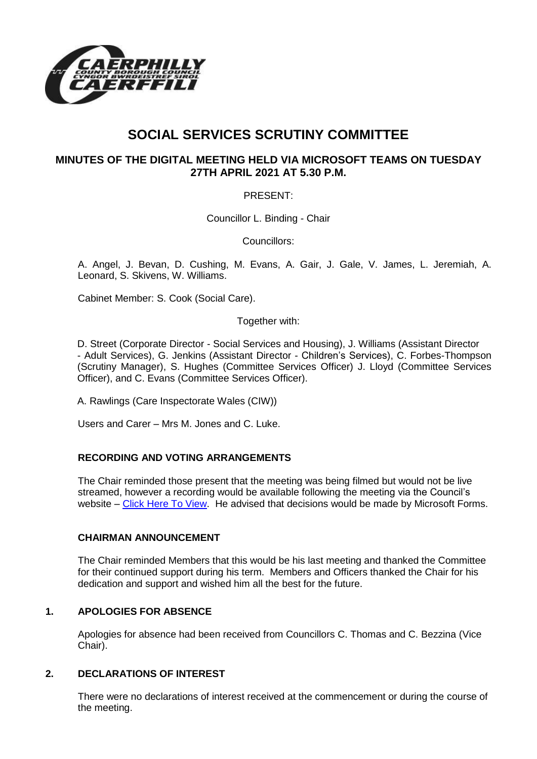

# **SOCIAL SERVICES SCRUTINY COMMITTEE**

# **MINUTES OF THE DIGITAL MEETING HELD VIA MICROSOFT TEAMS ON TUESDAY 27TH APRIL 2021 AT 5.30 P.M.**

# PRESENT:

Councillor L. Binding - Chair

Councillors:

A. Angel, J. Bevan, D. Cushing, M. Evans, A. Gair, J. Gale, V. James, L. Jeremiah, A. Leonard, S. Skivens, W. Williams.

Cabinet Member: S. Cook (Social Care).

Together with:

D. Street (Corporate Director - Social Services and Housing), J. Williams (Assistant Director - Adult Services), G. Jenkins (Assistant Director - Children's Services), C. Forbes-Thompson (Scrutiny Manager), S. Hughes (Committee Services Officer) J. Lloyd (Committee Services Officer), and C. Evans (Committee Services Officer).

A. Rawlings (Care Inspectorate Wales (CIW))

Users and Carer – Mrs M. Jones and C. Luke.

# **RECORDING AND VOTING ARRANGEMENTS**

The Chair reminded those present that the meeting was being filmed but would not be live streamed, however a recording would be available following the meeting via the Council's website – [Click Here To View.](https://www.caerphilly.gov.uk/My-Council/Meetings,-agendas,-minutes-and-reports/Council-meetings) He advised that decisions would be made by Microsoft Forms.

# **CHAIRMAN ANNOUNCEMENT**

The Chair reminded Members that this would be his last meeting and thanked the Committee for their continued support during his term. Members and Officers thanked the Chair for his dedication and support and wished him all the best for the future.

# **1. APOLOGIES FOR ABSENCE**

Apologies for absence had been received from Councillors C. Thomas and C. Bezzina (Vice Chair).

# **2. DECLARATIONS OF INTEREST**

There were no declarations of interest received at the commencement or during the course of the meeting.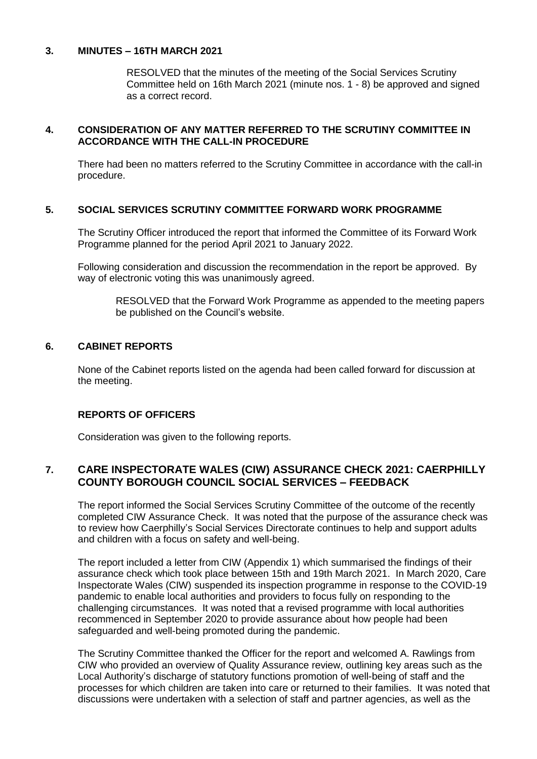#### **3. MINUTES – 16TH MARCH 2021**

RESOLVED that the minutes of the meeting of the Social Services Scrutiny Committee held on 16th March 2021 (minute nos. 1 - 8) be approved and signed as a correct record.

### **4. CONSIDERATION OF ANY MATTER REFERRED TO THE SCRUTINY COMMITTEE IN ACCORDANCE WITH THE CALL-IN PROCEDURE**

There had been no matters referred to the Scrutiny Committee in accordance with the call-in procedure.

# **5. SOCIAL SERVICES SCRUTINY COMMITTEE FORWARD WORK PROGRAMME**

The Scrutiny Officer introduced the report that informed the Committee of its Forward Work Programme planned for the period April 2021 to January 2022.

Following consideration and discussion the recommendation in the report be approved. By way of electronic voting this was unanimously agreed.

RESOLVED that the Forward Work Programme as appended to the meeting papers be published on the Council's website.

#### **6. CABINET REPORTS**

None of the Cabinet reports listed on the agenda had been called forward for discussion at the meeting.

#### **REPORTS OF OFFICERS**

Consideration was given to the following reports.

# **7. CARE INSPECTORATE WALES (CIW) ASSURANCE CHECK 2021: CAERPHILLY COUNTY BOROUGH COUNCIL SOCIAL SERVICES – FEEDBACK**

The report informed the Social Services Scrutiny Committee of the outcome of the recently completed CIW Assurance Check. It was noted that the purpose of the assurance check was to review how Caerphilly's Social Services Directorate continues to help and support adults and children with a focus on safety and well-being.

The report included a letter from CIW (Appendix 1) which summarised the findings of their assurance check which took place between 15th and 19th March 2021. In March 2020, Care Inspectorate Wales (CIW) suspended its inspection programme in response to the COVID-19 pandemic to enable local authorities and providers to focus fully on responding to the challenging circumstances. It was noted that a revised programme with local authorities recommenced in September 2020 to provide assurance about how people had been safeguarded and well-being promoted during the pandemic.

The Scrutiny Committee thanked the Officer for the report and welcomed A. Rawlings from CIW who provided an overview of Quality Assurance review, outlining key areas such as the Local Authority's discharge of statutory functions promotion of well-being of staff and the processes for which children are taken into care or returned to their families. It was noted that discussions were undertaken with a selection of staff and partner agencies, as well as the